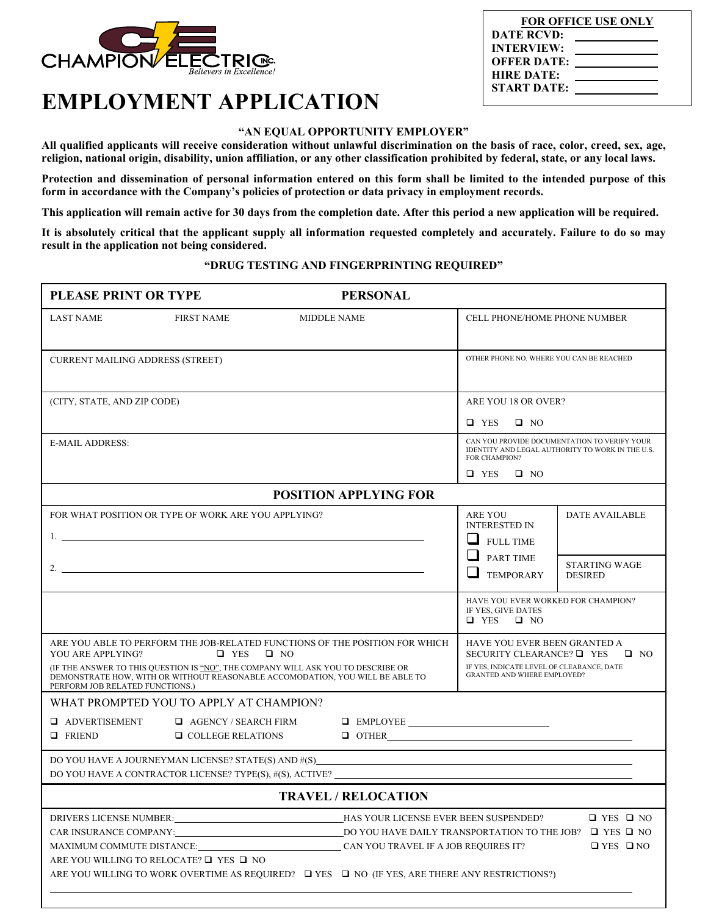

## **EMPLOYMENT APPLICATION**

## **"AN EQUAL OPPORTUNITY EMPLOYER"**

**All qualified applicants will receive consideration without unlawful discrimination on the basis of race, color, creed, sex, age, religion, national origin, disability, union affiliation, or any other classification prohibited by federal, state, or any local laws.** 

**Protection and dissemination of personal information entered on this form shall be limited to the intended purpose of this form in accordance with the Company's policies of protection or data privacy in employment records.** 

**This application will remain active for 30 days from the completion date. After this period a new application will be required.** 

**It is absolutely critical that the applicant supply all information requested completely and accurately. Failure to do so may result in the application not being considered.**

## **"DRUG TESTING AND FINGERPRINTING REQUIRED"**

| <b>PLEASE PRINT OR TYPE</b><br><b>PERSONAL</b>                                                                                                                                                                                                                                                                                                                                              |                                                         |                      |                                                                                                                                                                |                                                                                  |                                              |  |
|---------------------------------------------------------------------------------------------------------------------------------------------------------------------------------------------------------------------------------------------------------------------------------------------------------------------------------------------------------------------------------------------|---------------------------------------------------------|----------------------|----------------------------------------------------------------------------------------------------------------------------------------------------------------|----------------------------------------------------------------------------------|----------------------------------------------|--|
| <b>LAST NAME</b>                                                                                                                                                                                                                                                                                                                                                                            | <b>FIRST NAME</b>                                       | <b>MIDDLE NAME</b>   |                                                                                                                                                                | <b>CELL PHONE/HOME PHONE NUMBER</b>                                              |                                              |  |
| <b>CURRENT MAILING ADDRESS (STREET)</b>                                                                                                                                                                                                                                                                                                                                                     |                                                         |                      |                                                                                                                                                                | OTHER PHONE NO. WHERE YOU CAN BE REACHED                                         |                                              |  |
| (CITY, STATE, AND ZIP CODE)                                                                                                                                                                                                                                                                                                                                                                 |                                                         | ARE YOU 18 OR OVER?  |                                                                                                                                                                |                                                                                  |                                              |  |
|                                                                                                                                                                                                                                                                                                                                                                                             |                                                         | $\Box$ YES $\Box$ NO |                                                                                                                                                                |                                                                                  |                                              |  |
| <b>E-MAIL ADDRESS:</b>                                                                                                                                                                                                                                                                                                                                                                      |                                                         |                      | CAN YOU PROVIDE DOCUMENTATION TO VERIFY YOUR<br>IDENTITY AND LEGAL AUTHORITY TO WORK IN THE U.S.<br>FOR CHAMPION?                                              |                                                                                  |                                              |  |
|                                                                                                                                                                                                                                                                                                                                                                                             |                                                         |                      |                                                                                                                                                                | $\Box$ YES $\Box$ NO                                                             |                                              |  |
|                                                                                                                                                                                                                                                                                                                                                                                             |                                                         |                      | <b>POSITION APPLYING FOR</b>                                                                                                                                   |                                                                                  |                                              |  |
| FOR WHAT POSITION OR TYPE OF WORK ARE YOU APPLYING?                                                                                                                                                                                                                                                                                                                                         |                                                         |                      | ARE YOU<br><b>INTERESTED IN</b><br><b>FULL TIME</b>                                                                                                            | <b>DATE AVAILABLE</b>                                                            |                                              |  |
|                                                                                                                                                                                                                                                                                                                                                                                             |                                                         |                      |                                                                                                                                                                | $\Box$ PART TIME<br><b>TEMPORARY</b>                                             | <b>STARTING WAGE</b><br><b>DESIRED</b>       |  |
|                                                                                                                                                                                                                                                                                                                                                                                             |                                                         |                      |                                                                                                                                                                | HAVE YOU EVER WORKED FOR CHAMPION?<br>IF YES, GIVE DATES<br>$\Box$ YES $\Box$ NO |                                              |  |
| ARE YOU ABLE TO PERFORM THE JOB-RELATED FUNCTIONS OF THE POSITION FOR WHICH<br>YOU ARE APPLYING?<br>$\Box$ YES<br>$\Box$ NO<br>(IF THE ANSWER TO THIS QUESTION IS "NO", THE COMPANY WILL ASK YOU TO DESCRIBE OR<br>DEMONSTRATE HOW, WITH OR WITHOUT REASONABLE ACCOMODATION, YOU WILL BE ABLE TO<br>PERFORM JOB RELATED FUNCTIONS.)                                                         |                                                         |                      | HAVE YOU EVER BEEN GRANTED A<br>SECURITY CLEARANCE? $\Box$ YES<br>$\Box$ NO<br>IF YES, INDICATE LEVEL OF CLEARANCE, DATE<br><b>GRANTED AND WHERE EMPLOYED?</b> |                                                                                  |                                              |  |
|                                                                                                                                                                                                                                                                                                                                                                                             | WHAT PROMPTED YOU TO APPLY AT CHAMPION?                 |                      |                                                                                                                                                                |                                                                                  |                                              |  |
| <b>Q</b> ADVERTISEMENT<br><b>Q</b> FRIEND                                                                                                                                                                                                                                                                                                                                                   | $\Box$ AGENCY / SEARCH FIRM<br>$\Box$ COLLEGE RELATIONS |                      | $\begin{tabular}{ c c c c } \hline \quad \quad & EMPLOYEE \end{tabular}$<br>$\Box$ OTHER                                                                       |                                                                                  |                                              |  |
|                                                                                                                                                                                                                                                                                                                                                                                             |                                                         |                      | DO YOU HAVE A JOURNEYMAN LICENSE? STATE(S) AND #(S)______________________________<br>DO YOU HAVE A CONTRACTOR LICENSE? TYPE(S), #(S), ACTIVE?                  |                                                                                  |                                              |  |
| <b>TRAVEL / RELOCATION</b>                                                                                                                                                                                                                                                                                                                                                                  |                                                         |                      |                                                                                                                                                                |                                                                                  |                                              |  |
| DRIVERS LICENSE NUMBER:<br>HAS YOUR LICENSE EVER BEEN SUSPENDED?<br>CAR INSURANCE COMPANY:<br>LO YOU HAVE DAILY TRANSPORTATION TO THE JOB? $\Box$ YES $\Box$ NO<br>MAXIMUM COMMUTE DISTANCE:<br>CAN YOU TRAVEL IF A JOB REQUIRES IT?<br>ARE YOU WILLING TO RELOCATE? □ YES □ NO<br>ARE YOU WILLING TO WORK OVERTIME AS REQUIRED? $\Box$ YES $\Box$ NO (IF YES, ARE THERE ANY RESTRICTIONS?) |                                                         |                      |                                                                                                                                                                |                                                                                  | $\Box$ YES $\Box$ NO<br>$\Box$ YES $\Box$ NO |  |

| <b>FOR OFFICE USE ONLY</b> |  |  |  |  |
|----------------------------|--|--|--|--|
| <b>DATE RCVD:</b>          |  |  |  |  |
| <b>INTERVIEW:</b>          |  |  |  |  |
| <b>OFFER DATE:</b>         |  |  |  |  |
| <b>HIRE DATE:</b>          |  |  |  |  |
| <b>START DATE:</b>         |  |  |  |  |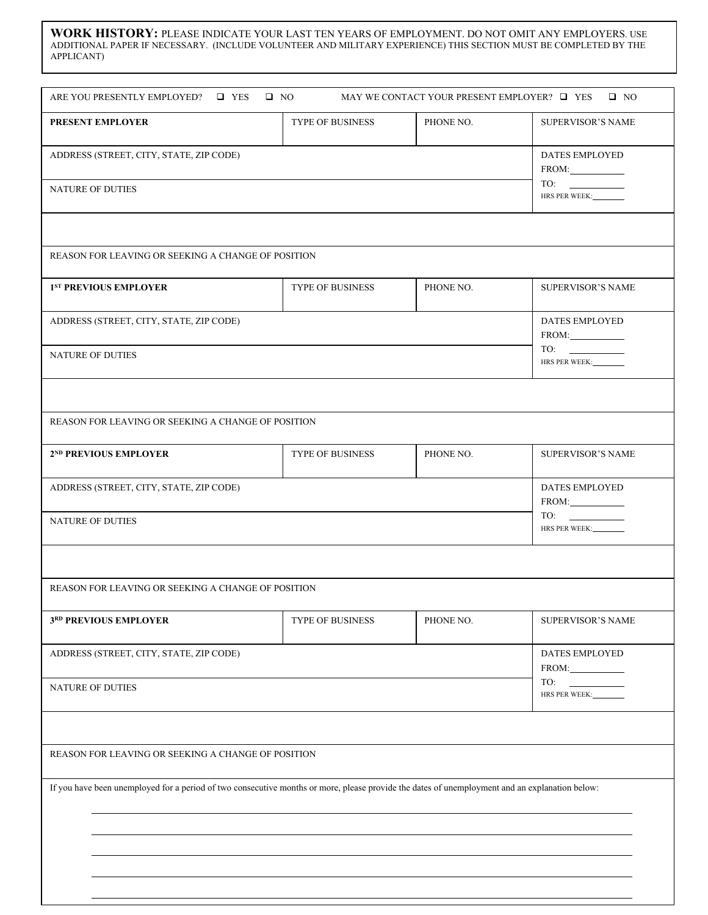**WORK HISTORY:** PLEASE INDICATE YOUR LAST TEN YEARS OF EMPLOYMENT. DO NOT OMIT ANY EMPLOYERS. USE ADDITIONAL PAPER IF NECESSARY. (INCLUDE VOLUNTEER AND MILITARY EXPERIENCE) THIS SECTION MUST BE COMPLETED BY THE APPLICANT)

| <b>PRESENT EMPLOYER</b>                                                                                                                        | <b>TYPE OF BUSINESS</b> | PHONE NO. | <b>SUPERVISOR'S NAME</b>     |
|------------------------------------------------------------------------------------------------------------------------------------------------|-------------------------|-----------|------------------------------|
|                                                                                                                                                |                         |           |                              |
| ADDRESS (STREET, CITY, STATE, ZIP CODE)                                                                                                        | <b>DATES EMPLOYED</b>   |           |                              |
|                                                                                                                                                |                         |           | FROM:                        |
| <b>NATURE OF DUTIES</b>                                                                                                                        |                         |           | TO:<br>HRS PER WEEK:         |
|                                                                                                                                                |                         |           |                              |
| REASON FOR LEAVING OR SEEKING A CHANGE OF POSITION                                                                                             |                         |           |                              |
| 1 <sup>ST</sup> PREVIOUS EMPLOYER                                                                                                              | <b>TYPE OF BUSINESS</b> | PHONE NO. | <b>SUPERVISOR'S NAME</b>     |
| ADDRESS (STREET, CITY, STATE, ZIP CODE)                                                                                                        |                         |           | DATES EMPLOYED               |
|                                                                                                                                                |                         |           | FROM:                        |
| <b>NATURE OF DUTIES</b>                                                                                                                        |                         |           | TO:<br>HRS PER WEEK:________ |
|                                                                                                                                                |                         |           |                              |
| REASON FOR LEAVING OR SEEKING A CHANGE OF POSITION                                                                                             |                         |           |                              |
| 2 <sup>ND</sup> PREVIOUS EMPLOYER                                                                                                              | TYPE OF BUSINESS        | PHONE NO. | <b>SUPERVISOR'S NAME</b>     |
| ADDRESS (STREET, CITY, STATE, ZIP CODE)                                                                                                        |                         |           | DATES EMPLOYED               |
|                                                                                                                                                |                         |           | FROM:                        |
| <b>NATURE OF DUTIES</b>                                                                                                                        | TO:<br>HRS PER WEEK:    |           |                              |
|                                                                                                                                                |                         |           |                              |
| REASON FOR LEAVING OR SEEKING A CHANGE OF POSITION                                                                                             |                         |           |                              |
| 3RD PREVIOUS EMPLOYER                                                                                                                          | TYPE OF BUSINESS        | PHONE NO. | SUPERVISOR'S NAME            |
| ADDRESS (STREET, CITY, STATE, ZIP CODE)                                                                                                        | DATES EMPLOYED          |           |                              |
|                                                                                                                                                | $FROM:$                 |           |                              |
| <b>NATURE OF DUTIES</b>                                                                                                                        | TO:<br>HRS PER WEEK:    |           |                              |
|                                                                                                                                                |                         |           |                              |
| REASON FOR LEAVING OR SEEKING A CHANGE OF POSITION                                                                                             |                         |           |                              |
| If you have been unemployed for a period of two consecutive months or more, please provide the dates of unemployment and an explanation below: |                         |           |                              |
|                                                                                                                                                |                         |           |                              |
|                                                                                                                                                |                         |           |                              |
|                                                                                                                                                |                         |           |                              |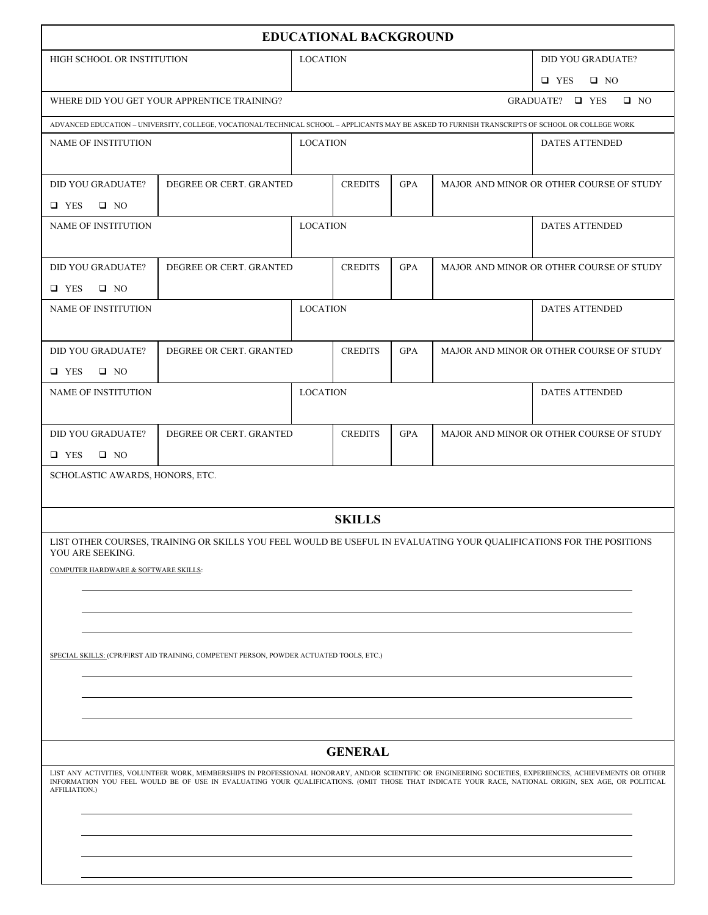| <b>EDUCATIONAL BACKGROUND</b>                                                                                                                                                                                                                                                                                    |                                                                                                                     |                 |                 |            |                         |                                          |
|------------------------------------------------------------------------------------------------------------------------------------------------------------------------------------------------------------------------------------------------------------------------------------------------------------------|---------------------------------------------------------------------------------------------------------------------|-----------------|-----------------|------------|-------------------------|------------------------------------------|
| HIGH SCHOOL OR INSTITUTION                                                                                                                                                                                                                                                                                       |                                                                                                                     |                 | <b>LOCATION</b> |            |                         | <b>DID YOU GRADUATE?</b>                 |
|                                                                                                                                                                                                                                                                                                                  |                                                                                                                     |                 |                 |            | $\Box$ YES<br>$\Box$ NO |                                          |
|                                                                                                                                                                                                                                                                                                                  | $\Box$ NO<br>WHERE DID YOU GET YOUR APPRENTICE TRAINING?<br>GRADUATE? □ YES                                         |                 |                 |            |                         |                                          |
| ADVANCED EDUCATION - UNIVERSITY, COLLEGE, VOCATIONAL/TECHNICAL SCHOOL - APPLICANTS MAY BE ASKED TO FURNISH TRANSCRIPTS OF SCHOOL OR COLLEGE WORK                                                                                                                                                                 |                                                                                                                     |                 |                 |            |                         |                                          |
| <b>NAME OF INSTITUTION</b>                                                                                                                                                                                                                                                                                       |                                                                                                                     | <b>LOCATION</b> |                 |            |                         | <b>DATES ATTENDED</b>                    |
|                                                                                                                                                                                                                                                                                                                  |                                                                                                                     |                 |                 |            |                         |                                          |
| <b>DID YOU GRADUATE?</b>                                                                                                                                                                                                                                                                                         | DEGREE OR CERT. GRANTED                                                                                             |                 | <b>CREDITS</b>  | <b>GPA</b> |                         | MAJOR AND MINOR OR OTHER COURSE OF STUDY |
| $\Box$ YES<br>$\Box$ NO                                                                                                                                                                                                                                                                                          |                                                                                                                     |                 |                 |            |                         |                                          |
| NAME OF INSTITUTION                                                                                                                                                                                                                                                                                              |                                                                                                                     | <b>LOCATION</b> |                 |            |                         | <b>DATES ATTENDED</b>                    |
|                                                                                                                                                                                                                                                                                                                  |                                                                                                                     |                 |                 |            |                         |                                          |
| <b>DID YOU GRADUATE?</b>                                                                                                                                                                                                                                                                                         | DEGREE OR CERT. GRANTED                                                                                             |                 | <b>CREDITS</b>  | <b>GPA</b> |                         | MAJOR AND MINOR OR OTHER COURSE OF STUDY |
| $\Box$ YES<br>$\Box$ NO                                                                                                                                                                                                                                                                                          |                                                                                                                     |                 |                 |            |                         |                                          |
| <b>NAME OF INSTITUTION</b>                                                                                                                                                                                                                                                                                       |                                                                                                                     | <b>LOCATION</b> |                 |            |                         | <b>DATES ATTENDED</b>                    |
|                                                                                                                                                                                                                                                                                                                  |                                                                                                                     |                 |                 |            |                         |                                          |
| <b>DID YOU GRADUATE?</b>                                                                                                                                                                                                                                                                                         | DEGREE OR CERT. GRANTED                                                                                             |                 | <b>CREDITS</b>  | <b>GPA</b> |                         | MAJOR AND MINOR OR OTHER COURSE OF STUDY |
| $\Box$ YES<br>$\Box$ NO                                                                                                                                                                                                                                                                                          |                                                                                                                     | <b>LOCATION</b> |                 |            |                         |                                          |
| NAME OF INSTITUTION                                                                                                                                                                                                                                                                                              |                                                                                                                     |                 |                 |            |                         | <b>DATES ATTENDED</b>                    |
| <b>DID YOU GRADUATE?</b>                                                                                                                                                                                                                                                                                         | DEGREE OR CERT. GRANTED                                                                                             |                 | <b>CREDITS</b>  | <b>GPA</b> |                         | MAJOR AND MINOR OR OTHER COURSE OF STUDY |
| $\Box$ YES<br>$\Box$ NO                                                                                                                                                                                                                                                                                          |                                                                                                                     |                 |                 |            |                         |                                          |
| SCHOLASTIC AWARDS, HONORS, ETC.                                                                                                                                                                                                                                                                                  |                                                                                                                     |                 |                 |            |                         |                                          |
|                                                                                                                                                                                                                                                                                                                  |                                                                                                                     |                 |                 |            |                         |                                          |
|                                                                                                                                                                                                                                                                                                                  |                                                                                                                     |                 | <b>SKILLS</b>   |            |                         |                                          |
|                                                                                                                                                                                                                                                                                                                  | LIST OTHER COURSES, TRAINING OR SKILLS YOU FEEL WOULD BE USEFUL IN EVALUATING YOUR QUALIFICATIONS FOR THE POSITIONS |                 |                 |            |                         |                                          |
| YOU ARE SEEKING.                                                                                                                                                                                                                                                                                                 |                                                                                                                     |                 |                 |            |                         |                                          |
| COMPUTER HARDWARE & SOFTWARE SKILLS:                                                                                                                                                                                                                                                                             |                                                                                                                     |                 |                 |            |                         |                                          |
|                                                                                                                                                                                                                                                                                                                  |                                                                                                                     |                 |                 |            |                         |                                          |
|                                                                                                                                                                                                                                                                                                                  |                                                                                                                     |                 |                 |            |                         |                                          |
|                                                                                                                                                                                                                                                                                                                  |                                                                                                                     |                 |                 |            |                         |                                          |
|                                                                                                                                                                                                                                                                                                                  | SPECIAL SKILLS: (CPR/FIRST AID TRAINING, COMPETENT PERSON, POWDER ACTUATED TOOLS, ETC.)                             |                 |                 |            |                         |                                          |
|                                                                                                                                                                                                                                                                                                                  |                                                                                                                     |                 |                 |            |                         |                                          |
|                                                                                                                                                                                                                                                                                                                  |                                                                                                                     |                 |                 |            |                         |                                          |
|                                                                                                                                                                                                                                                                                                                  |                                                                                                                     |                 |                 |            |                         |                                          |
| <b>GENERAL</b>                                                                                                                                                                                                                                                                                                   |                                                                                                                     |                 |                 |            |                         |                                          |
| LIST ANY ACTIVITIES, VOLUNTEER WORK, MEMBERSHIPS IN PROFESSIONAL HONORARY, AND/OR SCIENTIFIC OR ENGINEERING SOCIETIES, EXPERIENCES, ACHIEVEMENTS OR OTHER<br>INFORMATION YOU FEEL WOULD BE OF USE IN EVALUATING YOUR QUALIFICATIONS. (OMIT THOSE THAT INDICATE YOUR RACE, NATIONAL ORIGIN, SEX AGE, OR POLITICAL |                                                                                                                     |                 |                 |            |                         |                                          |
| AFFILIATION.)                                                                                                                                                                                                                                                                                                    |                                                                                                                     |                 |                 |            |                         |                                          |
|                                                                                                                                                                                                                                                                                                                  |                                                                                                                     |                 |                 |            |                         |                                          |
|                                                                                                                                                                                                                                                                                                                  |                                                                                                                     |                 |                 |            |                         |                                          |
|                                                                                                                                                                                                                                                                                                                  |                                                                                                                     |                 |                 |            |                         |                                          |